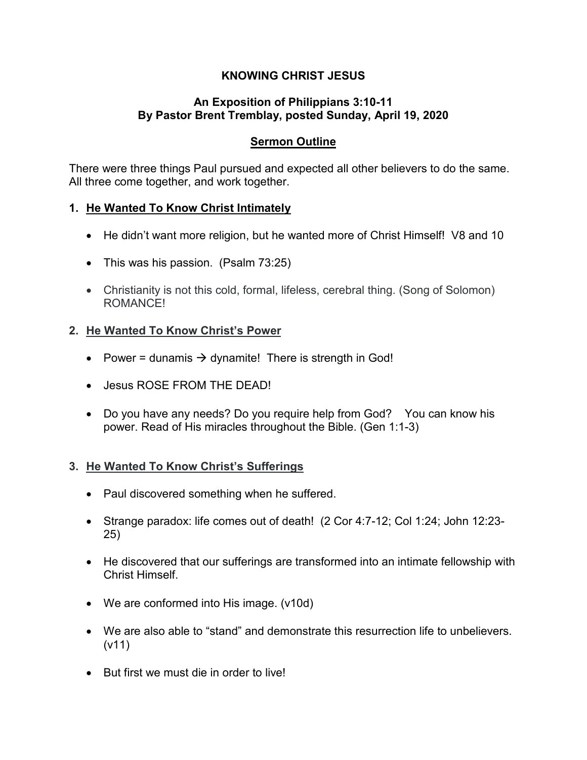# **KNOWING CHRIST JESUS**

## **An Exposition of Philippians 3:10-11 By Pastor Brent Tremblay, posted Sunday, April 19, 2020**

# **Sermon Outline**

There were three things Paul pursued and expected all other believers to do the same. All three come together, and work together.

## **1. He Wanted To Know Christ Intimately**

- He didn't want more religion, but he wanted more of Christ Himself! V8 and 10
- This was his passion. (Psalm 73:25)
- Christianity is not this cold, formal, lifeless, cerebral thing. (Song of Solomon) ROMANCE!

## **2. He Wanted To Know Christ's Power**

- Power = dunamis  $\rightarrow$  dynamite! There is strength in God!
- Jesus ROSE FROM THE DEAD!
- Do you have any needs? Do you require help from God? You can know his power. Read of His miracles throughout the Bible. (Gen 1:1-3)

#### **3. He Wanted To Know Christ's Sufferings**

- Paul discovered something when he suffered.
- Strange paradox: life comes out of death! (2 Cor 4:7-12; Col 1:24; John 12:23- 25)
- He discovered that our sufferings are transformed into an intimate fellowship with Christ Himself.
- We are conformed into His image. (v10d)
- We are also able to "stand" and demonstrate this resurrection life to unbelievers. (v11)
- But first we must die in order to live!